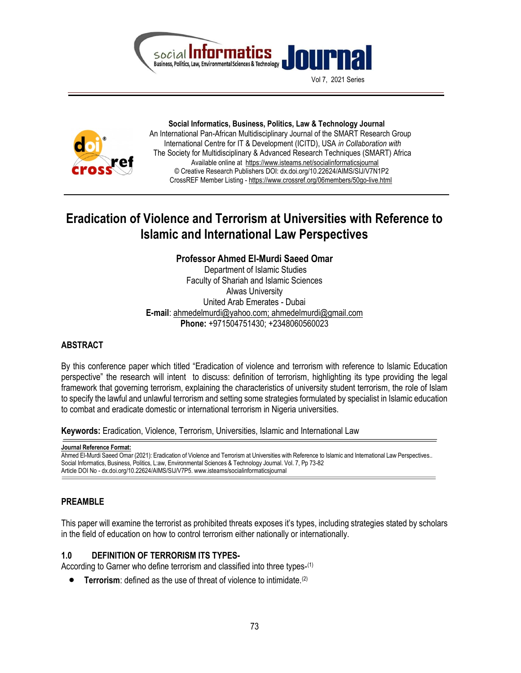

Vol 7, 2021 Series



 Social Informatics, Business, Politics, Law & Technology Journal An International Pan-African Multidisciplinary Journal of the SMART Research Group International Centre for IT & Development (ICITD), USA in Collaboration with The Society for Multidisciplinary & Advanced Research Techniques (SMART) Africa Available online at https://www.isteams.net/socialinformaticsjournal © Creative Research Publishers DOI: dx.doi.org/10.22624/AIMS/SIJ/V7N1P2 CrossREF Member Listing - https://www.crossref.org/06members/50go-live.html

# Eradication of Violence and Terrorism at Universities with Reference to Islamic and International Law Perspectives

# Professor Ahmed El-Murdi Saeed Omar

 Department of Islamic Studies Faculty of Shariah and Islamic Sciences Alwas University United Arab Emerates - Dubai E-mail: ahmedelmurdi@yahoo.com; ahmedelmurdi@gmail.com Phone: +971504751430: +2348060560023

### **ABSTRACT**

By this conference paper which titled "Eradication of violence and terrorism with reference to Islamic Education perspective" the research will intent to discuss: definition of terrorism, highlighting its type providing the legal framework that governing terrorism, explaining the characteristics of university student terrorism, the role of Islam to specify the lawful and unlawful terrorism and setting some strategies formulated by specialist in Islamic education to combat and eradicate domestic or international terrorism in Nigeria universities.

Keywords: Eradication, Violence, Terrorism, Universities, Islamic and International Law

Journal Reference Format:

Ahmed El-Murdi Saeed Omar (2021): Eradication of Violence and Terrorism at Universities with Reference to Islamic and International Law Perspectives.. Social Informatics, Business, Politics, L:aw, Environmental Sciences & Technology Journal. Vol. 7, Pp 73-82 Article DOI No - dx.doi.org/10.22624/AIMS/SIJ/V7P5. www.isteams/socialinformaticsjournal

# PREAMBLE

This paper will examine the terrorist as prohibited threats exposes it's types, including strategies stated by scholars in the field of education on how to control terrorism either nationally or internationally.

# 1.0 DEFINITION OF TERRORISM ITS TYPES-

According to Garner who define terrorism and classified into three types-(1)

**• Terrorism:** defined as the use of threat of violence to intimidate.<sup>(2)</sup>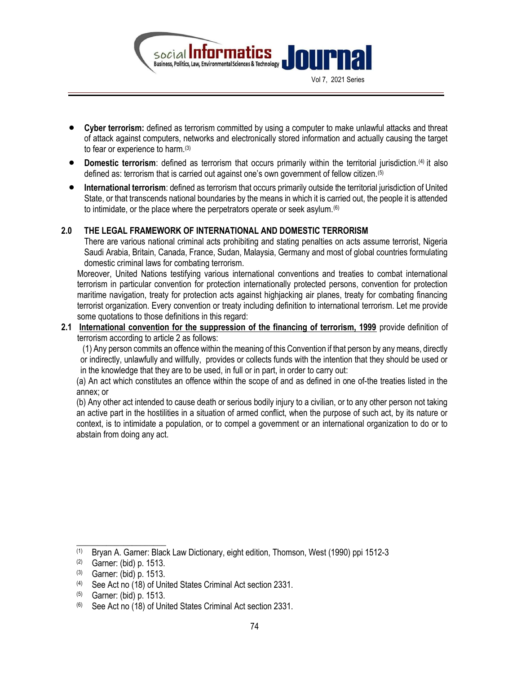

- Cyber terrorism: defined as terrorism committed by using a computer to make unlawful attacks and threat of attack against computers, networks and electronically stored information and actually causing the target to fear or experience to harm.(3)
- Domestic terrorism: defined as terrorism that occurs primarily within the territorial jurisdiction.(4) it also defined as: terrorism that is carried out against one's own government of fellow citizen.(5)
- International terrorism: defined as terrorism that occurs primarily outside the territorial jurisdiction of United State, or that transcends national boundaries by the means in which it is carried out, the people it is attended to intimidate, or the place where the perpetrators operate or seek asylum.(6)

# 2.0 THE LEGAL FRAMEWORK OF INTERNATIONAL AND DOMESTIC TERRORISM

There are various national criminal acts prohibiting and stating penalties on acts assume terrorist, Nigeria Saudi Arabia, Britain, Canada, France, Sudan, Malaysia, Germany and most of global countries formulating domestic criminal laws for combating terrorism.

Moreover, United Nations testifying various international conventions and treaties to combat international terrorism in particular convention for protection internationally protected persons, convention for protection maritime navigation, treaty for protection acts against highjacking air planes, treaty for combating financing terrorist organization. Every convention or treaty including definition to international terrorism. Let me provide some quotations to those definitions in this regard:

2.1 International convention for the suppression of the financing of terrorism, 1999 provide definition of terrorism according to article 2 as follows:

 (1) Any person commits an offence within the meaning of this Convention if that person by any means, directly or indirectly, unlawfully and willfully, provides or collects funds with the intention that they should be used or in the knowledge that they are to be used, in full or in part, in order to carry out:

(a) An act which constitutes an offence within the scope of and as defined in one of-the treaties listed in the annex; or

(b) Any other act intended to cause death or serious bodily injury to a civilian, or to any other person not taking an active part in the hostilities in a situation of armed conflict, when the purpose of such act, by its nature or context, is to intimidate a population, or to compel a government or an international organization to do or to abstain from doing any act.

 $\_$ 

<sup>(1)</sup> Bryan A. Garner: Black Law Dictionary, eight edition, Thomson, West (1990) ppi 1512-3

<sup>(2)</sup> Garner: (bid) p. 1513.

<sup>(3)</sup> Garner: (bid) p. 1513.

<sup>(4)</sup> See Act no (18) of United States Criminal Act section 2331.

<sup>(5)</sup> Garner: (bid) p. 1513.

<sup>(6)</sup> See Act no (18) of United States Criminal Act section 2331.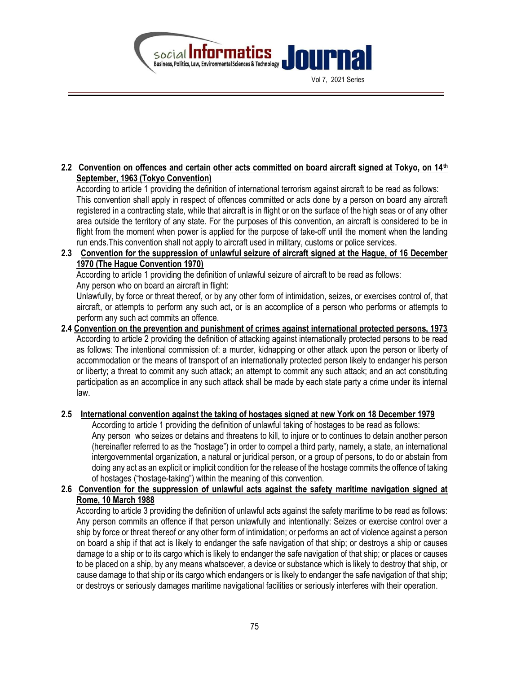

Vol 7, 2021 Series

# 2.2 Convention on offences and certain other acts committed on board aircraft signed at Tokyo, on  $14<sup>th</sup>$ September, 1963 (Tokyo Convention)

According to article 1 providing the definition of international terrorism against aircraft to be read as follows: This convention shall apply in respect of offences committed or acts done by a person on board any aircraft registered in a contracting state, while that aircraft is in flight or on the surface of the high seas or of any other area outside the territory of any state. For the purposes of this convention, an aircraft is considered to be in flight from the moment when power is applied for the purpose of take-off until the moment when the landing run ends.This convention shall not apply to aircraft used in military, customs or police services.

# 2.3 Convention for the suppression of unlawful seizure of aircraft signed at the Hague, of 16 December 1970 (The Hague Convention 1970)

According to article 1 providing the definition of unlawful seizure of aircraft to be read as follows:

Any person who on board an aircraft in flight:

Unlawfully, by force or threat thereof, or by any other form of intimidation, seizes, or exercises control of, that aircraft, or attempts to perform any such act, or is an accomplice of a person who performs or attempts to perform any such act commits an offence.

# 2.4 Convention on the prevention and punishment of crimes against international protected persons, 1973 According to article 2 providing the definition of attacking against internationally protected persons to be read as follows: The intentional commission of: a murder, kidnapping or other attack upon the person or liberty of accommodation or the means of transport of an internationally protected person likely to endanger his person or liberty; a threat to commit any such attack; an attempt to commit any such attack; and an act constituting participation as an accomplice in any such attack shall be made by each state party a crime under its internal law.

# 2.5 International convention against the taking of hostages signed at new York on 18 December 1979

According to article 1 providing the definition of unlawful taking of hostages to be read as follows: Any person who seizes or detains and threatens to kill, to injure or to continues to detain another person (hereinafter referred to as the "hostage") in order to compel a third party, namely, a state, an international intergovernmental organization, a natural or juridical person, or a group of persons, to do or abstain from doing any act as an explicit or implicit condition for the release of the hostage commits the offence of taking

#### of hostages ("hostage-taking") within the meaning of this convention. 2.6 Convention for the suppression of unlawful acts against the safety maritime navigation signed at Rome, 10 March 1988

According to article 3 providing the definition of unlawful acts against the safety maritime to be read as follows: Any person commits an offence if that person unlawfully and intentionally: Seizes or exercise control over a ship by force or threat thereof or any other form of intimidation; or performs an act of violence against a person on board a ship if that act is likely to endanger the safe navigation of that ship; or destroys a ship or causes damage to a ship or to its cargo which is likely to endanger the safe navigation of that ship; or places or causes to be placed on a ship, by any means whatsoever, a device or substance which is likely to destroy that ship, or cause damage to that ship or its cargo which endangers or is likely to endanger the safe navigation of that ship; or destroys or seriously damages maritime navigational facilities or seriously interferes with their operation.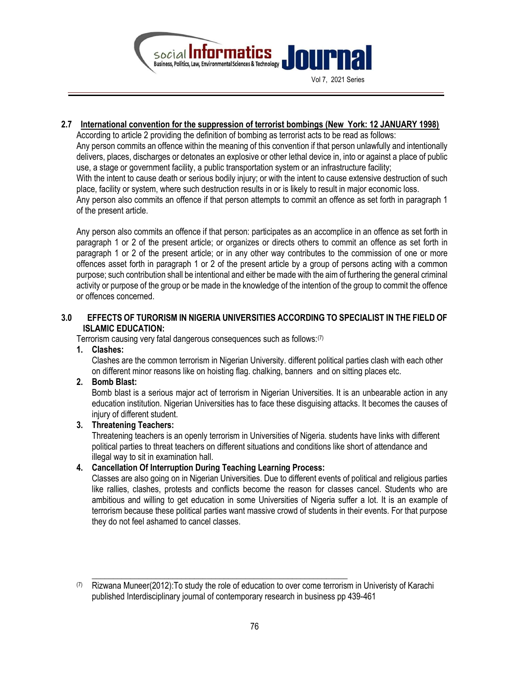

2.7 International convention for the suppression of terrorist bombings (New York: 12 JANUARY 1998)

According to article 2 providing the definition of bombing as terrorist acts to be read as follows: Any person commits an offence within the meaning of this convention if that person unlawfully and intentionally delivers, places, discharges or detonates an explosive or other lethal device in, into or against a place of public use, a stage or government facility, a public transportation system or an infrastructure facility; With the intent to cause death or serious bodily injury; or with the intent to cause extensive destruction of such place, facility or system, where such destruction results in or is likely to result in major economic loss. Any person also commits an offence if that person attempts to commit an offence as set forth in paragraph 1 of the present article.

Any person also commits an offence if that person: participates as an accomplice in an offence as set forth in paragraph 1 or 2 of the present article; or organizes or directs others to commit an offence as set forth in paragraph 1 or 2 of the present article; or in any other way contributes to the commission of one or more offences asset forth in paragraph 1 or 2 of the present article by a group of persons acting with a common purpose; such contribution shall be intentional and either be made with the aim of furthering the general criminal activity or purpose of the group or be made in the knowledge of the intention of the group to commit the offence or offences concerned.

# 3.0 EFFECTS OF TURORISM IN NIGERIA UNIVERSITIES ACCORDING TO SPECIALIST IN THE FIELD OF ISLAMIC EDUCATION:

Terrorism causing very fatal dangerous consequences such as follows:(7)

1. Clashes:

Clashes are the common terrorism in Nigerian University. different political parties clash with each other on different minor reasons like on hoisting flag. chalking, banners and on sitting places etc.

# 2. Bomb Blast:

Bomb blast is a serious major act of terrorism in Nigerian Universities. It is an unbearable action in any education institution. Nigerian Universities has to face these disguising attacks. It becomes the causes of injury of different student.

### 3. Threatening Teachers:

Threatening teachers is an openly terrorism in Universities of Nigeria. students have links with different political parties to threat teachers on different situations and conditions like short of attendance and illegal way to sit in examination hall.

### 4. Cancellation Of Interruption During Teaching Learning Process:

Classes are also going on in Nigerian Universities. Due to different events of political and religious parties like rallies, clashes, protests and conflicts become the reason for classes cancel. Students who are ambitious and willing to get education in some Universities of Nigeria suffer a lot. It is an example of terrorism because these political parties want massive crowd of students in their events. For that purpose they do not feel ashamed to cancel classes.

\_\_\_\_\_\_\_\_\_\_\_\_\_\_\_\_\_\_\_\_\_\_\_\_\_\_\_\_\_\_\_\_\_\_\_\_\_\_\_\_\_\_\_\_\_\_\_\_\_\_\_\_\_\_\_\_\_\_\_\_

 $(7)$  Rizwana Muneer(2012): To study the role of education to over come terrorism in Univeristy of Karachi published Interdisciplinary journal of contemporary research in business pp 439-461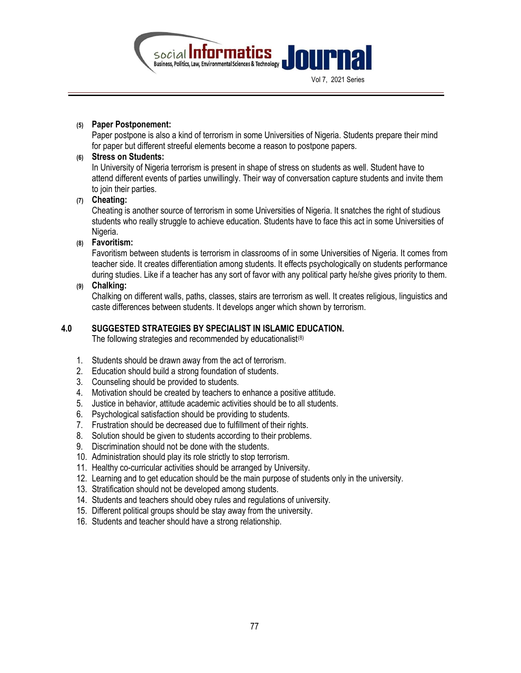

#### (5) Paper Postponement:

Paper postpone is also a kind of terrorism in some Universities of Nigeria. Students prepare their mind for paper but different streeful elements become a reason to postpone papers.

### (6) Stress on Students:

In University of Nigeria terrorism is present in shape of stress on students as well. Student have to attend different events of parties unwillingly. Their way of conversation capture students and invite them to join their parties.

### (7) Cheating:

Cheating is another source of terrorism in some Universities of Nigeria. It snatches the right of studious students who really struggle to achieve education. Students have to face this act in some Universities of Nigeria.

# (8) Favoritism:

Favoritism between students is terrorism in classrooms of in some Universities of Nigeria. It comes from teacher side. It creates differentiation among students. It effects psychologically on students performance during studies. Like if a teacher has any sort of favor with any political party he/she gives priority to them.

### (9) Chalking:

Chalking on different walls, paths, classes, stairs are terrorism as well. It creates religious, linguistics and caste differences between students. It develops anger which shown by terrorism.

### 4.0 SUGGESTED STRATEGIES BY SPECIALIST IN ISLAMIC EDUCATION.

The following strategies and recommended by educationalist $(8)$ 

- 1. Students should be drawn away from the act of terrorism.
- 2. Education should build a strong foundation of students.
- 3. Counseling should be provided to students.
- 4. Motivation should be created by teachers to enhance a positive attitude.
- 5. Justice in behavior, attitude academic activities should be to all students.
- 6. Psychological satisfaction should be providing to students.
- 7. Frustration should be decreased due to fulfillment of their rights.
- 8. Solution should be given to students according to their problems.
- 9. Discrimination should not be done with the students.
- 10. Administration should play its role strictly to stop terrorism.
- 11. Healthy co-curricular activities should be arranged by University.
- 12. Learning and to get education should be the main purpose of students only in the university.
- 13. Stratification should not be developed among students.
- 14. Students and teachers should obey rules and regulations of university.
- 15. Different political groups should be stay away from the university.
- 16. Students and teacher should have a strong relationship.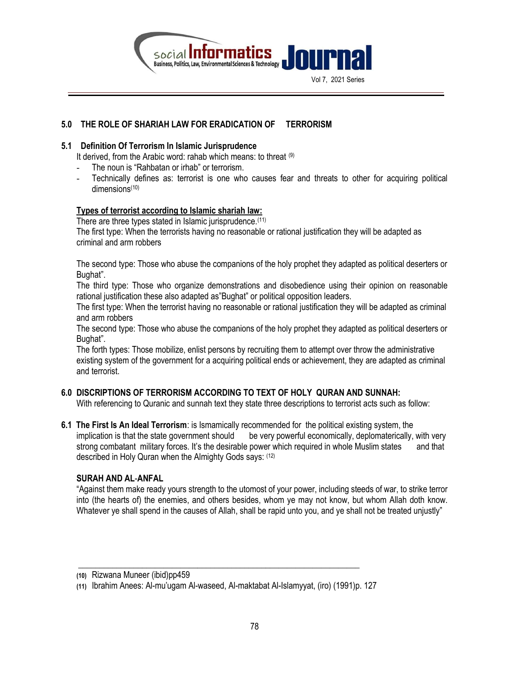

# 5.0 THE ROLE OF SHARIAH LAW FOR ERADICATION OF TERRORISM

# 5.1 Definition Of Terrorism In Islamic Jurisprudence

It derived, from the Arabic word: rahab which means: to threat  $(9)$ 

- The noun is "Rahbatan or irhab" or terrorism.
- Technically defines as: terrorist is one who causes fear and threats to other for acquiring political dimensions<sup>(10)</sup>

# Types of terrorist according to Islamic shariah law:

There are three types stated in Islamic jurisprudence.<sup>(11)</sup>

The first type: When the terrorists having no reasonable or rational justification they will be adapted as criminal and arm robbers

The second type: Those who abuse the companions of the holy prophet they adapted as political deserters or Bughat".

The third type: Those who organize demonstrations and disobedience using their opinion on reasonable rational justification these also adapted as"Bughat" or political opposition leaders.

The first type: When the terrorist having no reasonable or rational justification they will be adapted as criminal and arm robbers

The second type: Those who abuse the companions of the holy prophet they adapted as political deserters or Bughat".

The forth types: Those mobilize, enlist persons by recruiting them to attempt over throw the administrative existing system of the government for a acquiring political ends or achievement, they are adapted as criminal and terrorist.

# 6.0 DISCRIPTIONS OF TERRORISM ACCORDING TO TEXT OF HOLY QURAN AND SUNNAH:

With referencing to Quranic and sunnah text they state three descriptions to terrorist acts such as follow:

6.1 The First Is An Ideal Terrorism: is Ismamically recommended for the political existing system, the implication is that the state government should be very powerful economically, deplomaterically, with very strong combatant military forces. It's the desirable power which required in whole Muslim states and that described in Holy Quran when the Almighty Gods says: (12)

### SURAH AND AL-ANFAL

"Against them make ready yours strength to the utomost of your power, including steeds of war, to strike terror into (the hearts of) the enemies, and others besides, whom ye may not know, but whom Allah doth know. Whatever ye shall spend in the causes of Allah, shall be rapid unto you, and ye shall not be treated unjustly"

 $\frac{1}{2}$  ,  $\frac{1}{2}$  ,  $\frac{1}{2}$  ,  $\frac{1}{2}$  ,  $\frac{1}{2}$  ,  $\frac{1}{2}$  ,  $\frac{1}{2}$  ,  $\frac{1}{2}$  ,  $\frac{1}{2}$  ,  $\frac{1}{2}$  ,  $\frac{1}{2}$  ,  $\frac{1}{2}$  ,  $\frac{1}{2}$  ,  $\frac{1}{2}$  ,  $\frac{1}{2}$  ,  $\frac{1}{2}$  ,  $\frac{1}{2}$  ,  $\frac{1}{2}$  ,  $\frac{1$ 

<sup>(10)</sup> Rizwana Muneer (ibid)pp459

<sup>(11)</sup> Ibrahim Anees: Al-mu'ugam Al-waseed, Al-maktabat Al-Islamyyat, (iro) (1991)p. 127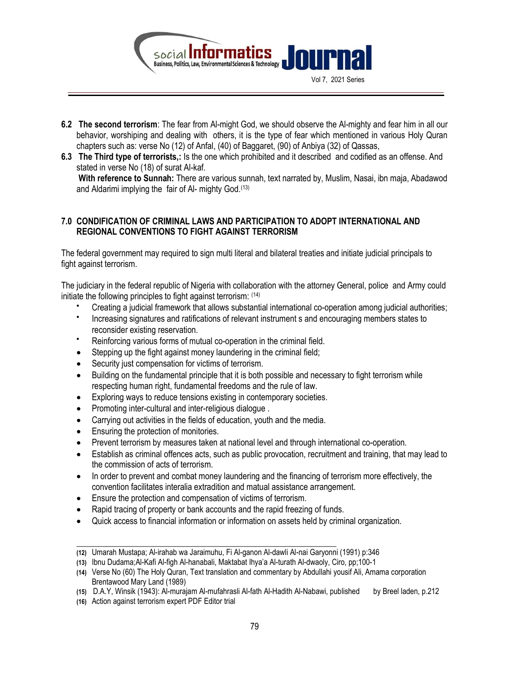

- 6.2 The second terrorism: The fear from Al-might God, we should observe the Al-mighty and fear him in all our behavior, worshiping and dealing with others, it is the type of fear which mentioned in various Holy Quran chapters such as: verse No (12) of Anfal, (40) of Baggaret, (90) of Anbiya (32) of Qassas,
- 6.3 The Third type of terrorists,: Is the one which prohibited and it described and codified as an offense. And stated in verse No (18) of surat Al-kaf.

With reference to Sunnah: There are various sunnah, text narrated by, Muslim, Nasai, ibn maja, Abadawod and Aldarimi implying the fair of Al- mighty God.(13)

# 7.0 CONDIFICATION OF CRIMINAL LAWS AND PARTICIPATION TO ADOPT INTERNATIONAL AND REGIONAL CONVENTIONS TO FIGHT AGAINST TERRORISM

The federal government may required to sign multi literal and bilateral treaties and initiate judicial principals to fight against terrorism.

The judiciary in the federal republic of Nigeria with collaboration with the attorney General, police and Army could initiate the following principles to fight against terrorism: (14)

- Creating a judicial framework that allows substantial international co-operation among judicial authorities;
- $\bullet$ Increasing signatures and ratifications of relevant instrument s and encouraging members states to reconsider existing reservation.
- Reinforcing various forms of mutual co-operation in the criminal field.
- Stepping up the fight against money laundering in the criminal field;
- Security just compensation for victims of terrorism.
- Building on the fundamental principle that it is both possible and necessary to fight terrorism while respecting human right, fundamental freedoms and the rule of law.
- Exploring ways to reduce tensions existing in contemporary societies.
- Promoting inter-cultural and inter-religious dialogue.
- Carrying out activities in the fields of education, youth and the media.
- **Ensuring the protection of monitories.**
- Prevent terrorism by measures taken at national level and through international co-operation.
- Establish as criminal offences acts, such as public provocation, recruitment and training, that may lead to the commission of acts of terrorism.
- In order to prevent and combat money laundering and the financing of terrorism more effectively, the convention facilitates interalia extradition and matual assistance arrangement.
- Ensure the protection and compensation of victims of terrorism.
- Rapid tracing of property or bank accounts and the rapid freezing of funds.

\_\_\_\_\_\_\_\_\_\_\_\_\_\_\_\_\_\_\_\_\_\_\_\_\_\_\_\_\_\_\_\_\_\_\_\_\_\_\_\_\_\_\_\_\_\_\_\_\_\_\_\_\_\_\_\_\_\_\_\_\_

Quick access to financial information or information on assets held by criminal organization.

<sup>(12)</sup> Umarah Mustapa; Al-irahab wa Jaraimuhu, Fi Al-ganon Al-dawli Al-nai Garyonni (1991) p:346

<sup>(13)</sup> Ibnu Dudama;Al-Kafi Al-figh Al-hanabali, Maktabat Ihya'a Al-turath Al-dwaoly, Ciro, pp;100-1

<sup>(14)</sup> Verse No (60) The Holy Quran, Text translation and commentary by Abdullahi yousif Ali, Amama corporation Brentawood Mary Land (1989)

<sup>(15)</sup> D.A.Y, Winsik (1943): Al-murajam Al-mufahrasli Al-fath Al-Hadith Al-Nabawi, published by Breel laden, p.212

<sup>(16)</sup> Action against terrorism expert PDF Editor trial